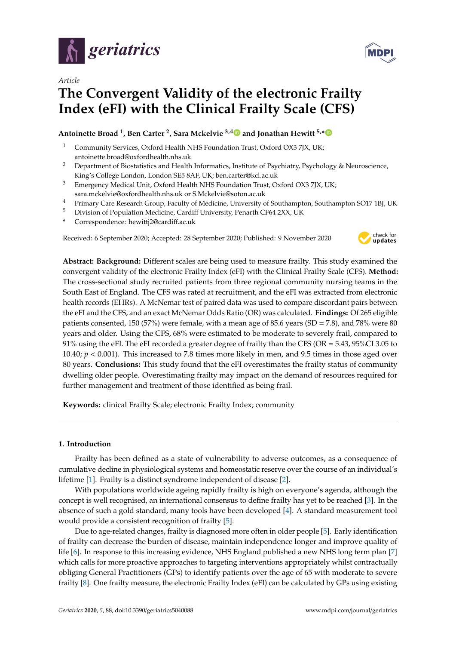



# **The Convergent Validity of the electronic Frailty Index (eFI) with the Clinical Frailty Scale (CFS)**

# **Antoinette Broad <sup>1</sup> , Ben Carter <sup>2</sup> , Sara Mckelvie 3,[4](https://orcid.org/0000-0003-3781-9813) and Jonathan Hewitt 5,[\\*](https://orcid.org/0000-0002-7924-1792)**

- Community Services, Oxford Health NHS Foundation Trust, Oxford OX3 7JX, UK; antoinette.broad@oxfordhealth.nhs.uk
- <sup>2</sup> Department of Biostatistics and Health Informatics, Institute of Psychiatry, Psychology & Neuroscience, King's College London, London SE5 8AF, UK; ben.carter@kcl.ac.uk
- <sup>3</sup> Emergency Medical Unit, Oxford Health NHS Foundation Trust, Oxford OX3 7JX, UK; sara.mckelvie@oxfordhealth.nhs.uk or S.Mckelvie@soton.ac.uk
- <sup>4</sup> Primary Care Research Group, Faculty of Medicine, University of Southampton, Southampton SO17 1BJ, UK
- <sup>5</sup> Division of Population Medicine, Cardiff University, Penarth CF64 2XX, UK
- **\*** Correspondence: hewittj2@cardiff.ac.uk

Received: 6 September 2020; Accepted: 28 September 2020; Published: 9 November 2020



**Abstract: Background:** Different scales are being used to measure frailty. This study examined the convergent validity of the electronic Frailty Index (eFI) with the Clinical Frailty Scale (CFS). **Method:** The cross-sectional study recruited patients from three regional community nursing teams in the South East of England. The CFS was rated at recruitment, and the eFI was extracted from electronic health records (EHRs). A McNemar test of paired data was used to compare discordant pairs between the eFI and the CFS, and an exact McNemar Odds Ratio (OR) was calculated. **Findings:** Of 265 eligible patients consented, 150 (57%) were female, with a mean age of 85.6 years (SD = 7.8), and 78% were 80 years and older. Using the CFS, 68% were estimated to be moderate to severely frail, compared to 91% using the eFI. The eFI recorded a greater degree of frailty than the CFS (OR = 5.43, 95%CI 3.05 to 10.40; *p* < 0.001). This increased to 7.8 times more likely in men, and 9.5 times in those aged over 80 years. **Conclusions:** This study found that the eFI overestimates the frailty status of community dwelling older people. Overestimating frailty may impact on the demand of resources required for further management and treatment of those identified as being frail.

**Keywords:** clinical Frailty Scale; electronic Frailty Index; community

# **1. Introduction**

Frailty has been defined as a state of vulnerability to adverse outcomes, as a consequence of cumulative decline in physiological systems and homeostatic reserve over the course of an individual's lifetime [\[1\]](#page-4-0). Frailty is a distinct syndrome independent of disease [\[2\]](#page-4-1).

With populations worldwide ageing rapidly frailty is high on everyone's agenda, although the concept is well recognised, an international consensus to define frailty has yet to be reached [\[3\]](#page-4-2). In the absence of such a gold standard, many tools have been developed [\[4\]](#page-4-3). A standard measurement tool would provide a consistent recognition of frailty [\[5\]](#page-4-4).

Due to age-related changes, frailty is diagnosed more often in older people [\[5\]](#page-4-4). Early identification of frailty can decrease the burden of disease, maintain independence longer and improve quality of life [\[6\]](#page-4-5). In response to this increasing evidence, NHS England published a new NHS long term plan [\[7\]](#page-4-6) which calls for more proactive approaches to targeting interventions appropriately whilst contractually obliging General Practitioners (GPs) to identify patients over the age of 65 with moderate to severe frailty [\[8\]](#page-4-7). One frailty measure, the electronic Frailty Index (eFI) can be calculated by GPs using existing

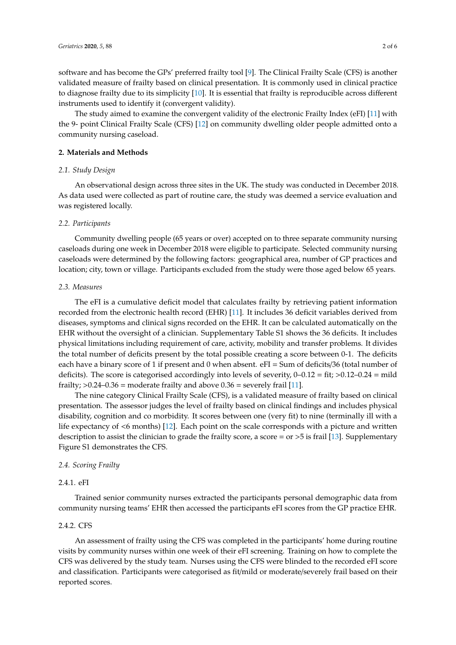software and has become the GPs' preferred frailty tool [\[9\]](#page-4-8). The Clinical Frailty Scale (CFS) is another validated measure of frailty based on clinical presentation. It is commonly used in clinical practice to diagnose frailty due to its simplicity [\[10\]](#page-4-9). It is essential that frailty is reproducible across different instruments used to identify it (convergent validity).

The study aimed to examine the convergent validity of the electronic Frailty Index (eFI) [\[11\]](#page-4-10) with the 9- point Clinical Frailty Scale (CFS) [\[12\]](#page-4-11) on community dwelling older people admitted onto a community nursing caseload.

# **2. Materials and Methods**

## *2.1. Study Design*

An observational design across three sites in the UK. The study was conducted in December 2018. As data used were collected as part of routine care, the study was deemed a service evaluation and was registered locally.

#### *2.2. Participants*

Community dwelling people (65 years or over) accepted on to three separate community nursing caseloads during one week in December 2018 were eligible to participate. Selected community nursing caseloads were determined by the following factors: geographical area, number of GP practices and location; city, town or village. Participants excluded from the study were those aged below 65 years.

#### *2.3. Measures*

The eFI is a cumulative deficit model that calculates frailty by retrieving patient information recorded from the electronic health record (EHR) [\[11\]](#page-4-10). It includes 36 deficit variables derived from diseases, symptoms and clinical signs recorded on the EHR. It can be calculated automatically on the EHR without the oversight of a clinician. Supplementary Table S1 shows the 36 deficits. It includes physical limitations including requirement of care, activity, mobility and transfer problems. It divides the total number of deficits present by the total possible creating a score between 0-1. The deficits each have a binary score of 1 if present and 0 when absent. eFI = Sum of deficits/36 (total number of deficits). The score is categorised accordingly into levels of severity,  $0-0.12 = \text{fit}$ ;  $>0.12-0.24 = \text{mild}$ frailty;  $>0.24-0.36$  = moderate frailty and above  $0.36$  = severely frail [\[11\]](#page-4-10).

The nine category Clinical Frailty Scale (CFS), is a validated measure of frailty based on clinical presentation. The assessor judges the level of frailty based on clinical findings and includes physical disability, cognition and co morbidity. It scores between one (very fit) to nine (terminally ill with a life expectancy of <6 months) [\[12\]](#page-4-11). Each point on the scale corresponds with a picture and written description to assist the clinician to grade the frailty score, a score = or >5 is frail [\[13\]](#page-4-12). Supplementary Figure S1 demonstrates the CFS.

#### *2.4. Scoring Frailty*

### 2.4.1. eFI

Trained senior community nurses extracted the participants personal demographic data from community nursing teams' EHR then accessed the participants eFI scores from the GP practice EHR.

#### 2.4.2. CFS

An assessment of frailty using the CFS was completed in the participants' home during routine visits by community nurses within one week of their eFI screening. Training on how to complete the CFS was delivered by the study team. Nurses using the CFS were blinded to the recorded eFI score and classification. Participants were categorised as fit/mild or moderate/severely frail based on their reported scores.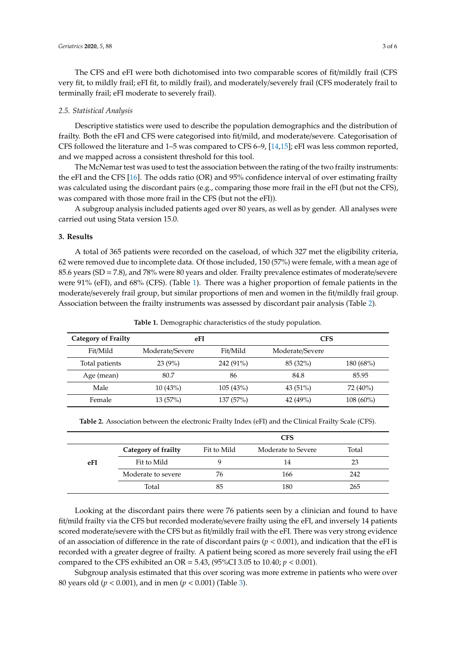The CFS and eFI were both dichotomised into two comparable scores of fit/mildly frail (CFS very fit, to mildly frail; eFI fit, to mildly frail), and moderately/severely frail (CFS moderately frail to terminally frail; eFI moderate to severely frail).

#### *2.5. Statistical Analysis*

Descriptive statistics were used to describe the population demographics and the distribution of frailty. Both the eFI and CFS were categorised into fit/mild, and moderate/severe. Categorisation of CFS followed the literature and 1–5 was compared to CFS 6–9, [\[14](#page-4-13)[,15\]](#page-4-14); eFI was less common reported, and we mapped across a consistent threshold for this tool.

The McNemar test was used to test the association between the rating of the two frailty instruments: the eFI and the CFS [\[16\]](#page-4-15). The odds ratio (OR) and 95% confidence interval of over estimating frailty was calculated using the discordant pairs (e.g., comparing those more frail in the eFI (but not the CFS), was compared with those more frail in the CFS (but not the eFI)).

A subgroup analysis included patients aged over 80 years, as well as by gender. All analyses were carried out using Stata version 15.0.

#### **3. Results**

A total of 365 patients were recorded on the caseload, of which 327 met the eligibility criteria, 62 were removed due to incomplete data. Of those included, 150 (57%) were female, with a mean age of 85.6 years (SD = 7.8), and 78% were 80 years and older. Frailty prevalence estimates of moderate/severe were 91% (eFI), and 68% (CFS). (Table [1\)](#page-2-0). There was a higher proportion of female patients in the moderate/severely frail group, but similar proportions of men and women in the fit/mildly frail group. Association between the frailty instruments was assessed by discordant pair analysis (Table [2\)](#page-2-1).

**Table 1.** Demographic characteristics of the study population.

<span id="page-2-0"></span>

| <b>Category of Frailty</b> | eFI             |           | <b>CFS</b>      |             |  |
|----------------------------|-----------------|-----------|-----------------|-------------|--|
| Fit/Mild                   | Moderate/Severe | Fit/Mild  | Moderate/Severe |             |  |
| Total patients             | 23(9%)          | 242 (91%) | 85 (32%)        | 180(68%)    |  |
| Age (mean)                 | 80.7            | 86        | 84.8            | 85.95       |  |
| Male                       | 10(43%)         | 105(43%)  | $43(51\%)$      | 72 (40%)    |  |
| Female                     | 13(57%)         | 137 (57%) | 42 $(49%)$      | $108(60\%)$ |  |

|  |  |  |  | Table 2. Association between the electronic Frailty Index (eFI) and the Clinical Frailty Scale (CFS). |  |
|--|--|--|--|-------------------------------------------------------------------------------------------------------|--|
|  |  |  |  |                                                                                                       |  |

<span id="page-2-1"></span>

|     |                     | <b>CFS</b>  |                    |       |  |
|-----|---------------------|-------------|--------------------|-------|--|
|     | Category of frailty | Fit to Mild | Moderate to Severe | Total |  |
| eFI | Fit to Mild         |             | 14                 | 23    |  |
|     | Moderate to severe  | 76          | 166                | 242   |  |
|     | Total               |             | 180                | 265   |  |

Looking at the discordant pairs there were 76 patients seen by a clinician and found to have fit/mild frailty via the CFS but recorded moderate/severe frailty using the eFI, and inversely 14 patients scored moderate/severe with the CFS but as fit/mildly frail with the eFI. There was very strong evidence of an association of difference in the rate of discordant pairs (*p* < 0.001), and indication that the eFI is recorded with a greater degree of frailty. A patient being scored as more severely frail using the eFI compared to the CFS exhibited an OR = 5.43, (95%CI 3.05 to 10.40; *p* < 0.001).

Subgroup analysis estimated that this over scoring was more extreme in patients who were over 80 years old (*p* < 0.001), and in men (*p* < 0.001) (Table [3\)](#page-3-0).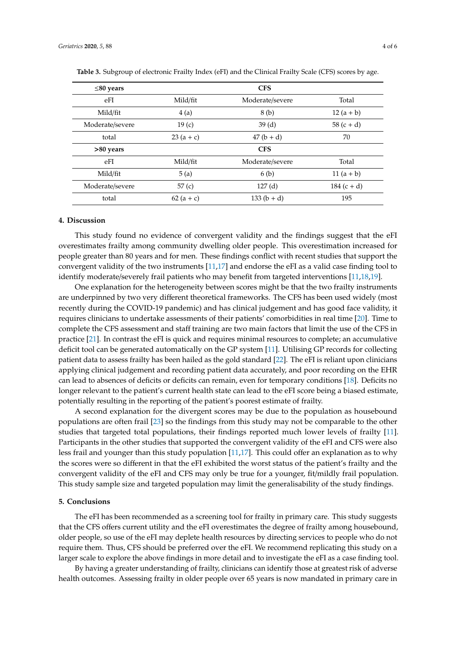| $\leq$ 80 years |             | <b>CFS</b>      |              |
|-----------------|-------------|-----------------|--------------|
| eFI             | Mild/fit    | Moderate/severe | Total        |
| Mild/fit        | 4(a)        | 8 (b)           | $12(a + b)$  |
| Moderate/severe | 19(c)       | 39(d)           | $58(c + d)$  |
| total           | $23(a + c)$ | $47(b + d)$     | 70           |
| >80 years       |             | <b>CFS</b>      |              |
| eFI             | Mild/fit    | Moderate/severe | Total        |
| Mild/fit        | 5(a)        | 6(b)            | 11 $(a + b)$ |
| Moderate/severe | 57(c)       | 127(d)          | $184(c + d)$ |
| total           | $62(a + c)$ | $133(b + d)$    | 195          |

<span id="page-3-0"></span>**Table 3.** Subgroup of electronic Frailty Index (eFI) and the Clinical Frailty Scale (CFS) scores by age.

#### **4. Discussion**

This study found no evidence of convergent validity and the findings suggest that the eFI overestimates frailty among community dwelling older people. This overestimation increased for people greater than 80 years and for men. These findings conflict with recent studies that support the convergent validity of the two instruments [\[11](#page-4-10)[,17\]](#page-4-16) and endorse the eFI as a valid case finding tool to identify moderate/severely frail patients who may benefit from targeted interventions [\[11](#page-4-10)[,18](#page-5-0)[,19\]](#page-5-1).

One explanation for the heterogeneity between scores might be that the two frailty instruments are underpinned by two very different theoretical frameworks. The CFS has been used widely (most recently during the COVID-19 pandemic) and has clinical judgement and has good face validity, it requires clinicians to undertake assessments of their patients' comorbidities in real time [\[20\]](#page-5-2). Time to complete the CFS assessment and staff training are two main factors that limit the use of the CFS in practice [\[21\]](#page-5-3). In contrast the eFI is quick and requires minimal resources to complete; an accumulative deficit tool can be generated automatically on the GP system [\[11\]](#page-4-10). Utilising GP records for collecting patient data to assess frailty has been hailed as the gold standard [\[22\]](#page-5-4). The eFI is reliant upon clinicians applying clinical judgement and recording patient data accurately, and poor recording on the EHR can lead to absences of deficits or deficits can remain, even for temporary conditions [\[18\]](#page-5-0). Deficits no longer relevant to the patient's current health state can lead to the eFI score being a biased estimate, potentially resulting in the reporting of the patient's poorest estimate of frailty.

A second explanation for the divergent scores may be due to the population as housebound populations are often frail [\[23\]](#page-5-5) so the findings from this study may not be comparable to the other studies that targeted total populations, their findings reported much lower levels of frailty [\[11\]](#page-4-10). Participants in the other studies that supported the convergent validity of the eFI and CFS were also less frail and younger than this study population [\[11](#page-4-10)[,17\]](#page-4-16). This could offer an explanation as to why the scores were so different in that the eFI exhibited the worst status of the patient's frailty and the convergent validity of the eFI and CFS may only be true for a younger, fit/mildly frail population. This study sample size and targeted population may limit the generalisability of the study findings.

### **5. Conclusions**

The eFI has been recommended as a screening tool for frailty in primary care. This study suggests that the CFS offers current utility and the eFI overestimates the degree of frailty among housebound, older people, so use of the eFI may deplete health resources by directing services to people who do not require them. Thus, CFS should be preferred over the eFI. We recommend replicating this study on a larger scale to explore the above findings in more detail and to investigate the eFI as a case finding tool.

By having a greater understanding of frailty, clinicians can identify those at greatest risk of adverse health outcomes. Assessing frailty in older people over 65 years is now mandated in primary care in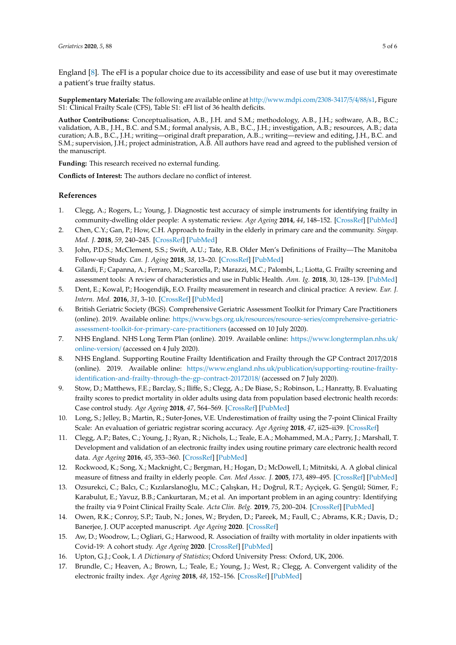England [\[8\]](#page-4-7). The eFI is a popular choice due to its accessibility and ease of use but it may overestimate a patient's true frailty status.

**Supplementary Materials:** The following are available online at http://[www.mdpi.com](http://www.mdpi.com/2308-3417/5/4/88/s1)/2308-3417/5/4/88/s1, Figure S1: Clinical Frailty Scale (CFS), Table S1: eFI list of 36 health deficits.

**Author Contributions:** Conceptualisation, A.B., J.H. and S.M.; methodology, A.B., J.H.; software, A.B., B.C.; validation, A.B., J.H., B.C. and S.M.; formal analysis, A.B., B.C., J.H.; investigation, A.B.; resources, A.B.; data curation; A.B., B.C., J.H.; writing—original draft preparation, A.B..; writing—review and editing, J.H., B.C. and S.M.; supervision, J.H.; project administration, A.B. All authors have read and agreed to the published version of the manuscript.

**Funding:** This research received no external funding.

**Conflicts of Interest:** The authors declare no conflict of interest.

# **References**

- <span id="page-4-0"></span>1. Clegg, A.; Rogers, L.; Young, J. Diagnostic test accuracy of simple instruments for identifying frailty in community-dwelling older people: A systematic review. *Age Ageing* **2014**, *44*, 148–152. [\[CrossRef\]](http://dx.doi.org/10.1093/ageing/afu157) [\[PubMed\]](http://www.ncbi.nlm.nih.gov/pubmed/25355618)
- <span id="page-4-1"></span>2. Chen, C.Y.; Gan, P.; How, C.H. Approach to frailty in the elderly in primary care and the community. *Singap. Med. J.* **2018**, *59*, 240–245. [\[CrossRef\]](http://dx.doi.org/10.11622/smedj.2018052) [\[PubMed\]](http://www.ncbi.nlm.nih.gov/pubmed/29799055)
- <span id="page-4-2"></span>3. John, P.D.S.; McClement, S.S.; Swift, A.U.; Tate, R.B. Older Men's Definitions of Frailty—The Manitoba Follow-up Study. *Can. J. Aging* **2018**, *38*, 13–20. [\[CrossRef\]](http://dx.doi.org/10.1017/S0714980818000405) [\[PubMed\]](http://www.ncbi.nlm.nih.gov/pubmed/30522547)
- <span id="page-4-3"></span>4. Gilardi, F.; Capanna, A.; Ferraro, M.; Scarcella, P.; Marazzi, M.C.; Palombi, L.; Liotta, G. Frailty screening and assessment tools: A review of characteristics and use in Public Health. *Ann. Ig.* **2018**, *30*, 128–139. [\[PubMed\]](http://www.ncbi.nlm.nih.gov/pubmed/29465150)
- <span id="page-4-4"></span>5. Dent, E.; Kowal, P.; Hoogendijk, E.O. Frailty measurement in research and clinical practice: A review. *Eur. J. Intern. Med.* **2016**, *31*, 3–10. [\[CrossRef\]](http://dx.doi.org/10.1016/j.ejim.2016.03.007) [\[PubMed\]](http://www.ncbi.nlm.nih.gov/pubmed/27039014)
- <span id="page-4-5"></span>6. British Geriatric Society (BGS). Comprehensive Geriatric Assessment Toolkit for Primary Care Practitioners (online). 2019. Available online: https://www.bgs.org.uk/resources/resource-series/[comprehensive-geriatric](https://www.bgs.org.uk/resources/resource-series/comprehensive-geriatric-assessment-toolkit-for-primary-care-practitioners)[assessment-toolkit-for-primary-care-practitioners](https://www.bgs.org.uk/resources/resource-series/comprehensive-geriatric-assessment-toolkit-for-primary-care-practitioners) (accessed on 10 July 2020).
- <span id="page-4-6"></span>7. NHS England. NHS Long Term Plan (online). 2019. Available online: https://[www.longtermplan.nhs.uk](https://www.longtermplan.nhs.uk/online-version/)/ [online-version](https://www.longtermplan.nhs.uk/online-version/)/ (accessed on 4 July 2020).
- <span id="page-4-7"></span>8. NHS England. Supporting Routine Frailty Identification and Frailty through the GP Contract 2017/2018 (online). 2019. Available online: https://www.england.nhs.uk/publication/[supporting-routine-frailty](https://www.england.nhs.uk/publication/supporting-routine-frailty-identification-and-frailty-through-the-gp-contract-20172018/)[identification-and-frailty-through-the-gp-contract-20172018](https://www.england.nhs.uk/publication/supporting-routine-frailty-identification-and-frailty-through-the-gp-contract-20172018/)/ (accessed on 7 July 2020).
- <span id="page-4-8"></span>9. Stow, D.; Matthews, F.E.; Barclay, S.; Iliffe, S.; Clegg, A.; De Biase, S.; Robinson, L.; Hanratty, B. Evaluating frailty scores to predict mortality in older adults using data from population based electronic health records: Case control study. *Age Ageing* **2018**, *47*, 564–569. [\[CrossRef\]](http://dx.doi.org/10.1093/ageing/afy022) [\[PubMed\]](http://www.ncbi.nlm.nih.gov/pubmed/29546362)
- <span id="page-4-9"></span>10. Long, S.; Jelley, B.; Martin, R.; Suter-Jones, V.E. Underestimation of frailty using the 7-point Clinical Frailty Scale: An evaluation of geriatric registrar scoring accuracy. *Age Ageing* **2018**, *47*, ii25–ii39. [\[CrossRef\]](http://dx.doi.org/10.1093/ageing/afy028.46)
- <span id="page-4-10"></span>11. Clegg, A.P.; Bates, C.; Young, J.; Ryan, R.; Nichols, L.; Teale, E.A.; Mohammed, M.A.; Parry, J.; Marshall, T. Development and validation of an electronic frailty index using routine primary care electronic health record data. *Age Ageing* **2016**, *45*, 353–360. [\[CrossRef\]](http://dx.doi.org/10.1093/ageing/afw039) [\[PubMed\]](http://www.ncbi.nlm.nih.gov/pubmed/26944937)
- <span id="page-4-11"></span>12. Rockwood, K.; Song, X.; Macknight, C.; Bergman, H.; Hogan, D.; McDowell, I.; Mitnitski, A. A global clinical measure of fitness and frailty in elderly people. *Can. Med Assoc. J.* **2005**, *173*, 489–495. [\[CrossRef\]](http://dx.doi.org/10.1503/cmaj.050051) [\[PubMed\]](http://www.ncbi.nlm.nih.gov/pubmed/16129869)
- <span id="page-4-12"></span>13. Ozsurekci, C.; Balcı, C.; Kızılarslanoğlu, M.C.; Çalışkan, H.; Doğrul, R.T.; Ayçiçek, G. Şengül; Sümer, F.; Karabulut, E.; Yavuz, B.B.; Cankurtaran, M.; et al. An important problem in an aging country: Identifying the frailty via 9 Point Clinical Frailty Scale. *Acta Clin. Belg.* **2019**, *75*, 200–204. [\[CrossRef\]](http://dx.doi.org/10.1080/17843286.2019.1597457) [\[PubMed\]](http://www.ncbi.nlm.nih.gov/pubmed/30919742)
- <span id="page-4-13"></span>14. Owen, R.K.; Conroy, S.P.; Taub, N.; Jones, W.; Bryden, D.; Pareek, M.; Faull, C.; Abrams, K.R.; Davis, D.; Banerjee, J. OUP accepted manuscript. *Age Ageing* **2020**. [\[CrossRef\]](http://dx.doi.org/10.1093/ageing/afaa167)
- <span id="page-4-14"></span>15. Aw, D.; Woodrow, L.; Ogliari, G.; Harwood, R. Association of frailty with mortality in older inpatients with Covid-19: A cohort study. *Age Ageing* **2020**. [\[CrossRef\]](http://dx.doi.org/10.1093/ageing/afaa184) [\[PubMed\]](http://www.ncbi.nlm.nih.gov/pubmed/32778870)
- <span id="page-4-15"></span>16. Upton, G.J.; Cook, I. *A Dictionary of Statistics*; Oxford University Press: Oxford, UK, 2006.
- <span id="page-4-16"></span>17. Brundle, C.; Heaven, A.; Brown, L.; Teale, E.; Young, J.; West, R.; Clegg, A. Convergent validity of the electronic frailty index. *Age Ageing* **2018**, *48*, 152–156. [\[CrossRef\]](http://dx.doi.org/10.1093/ageing/afy162) [\[PubMed\]](http://www.ncbi.nlm.nih.gov/pubmed/30321256)